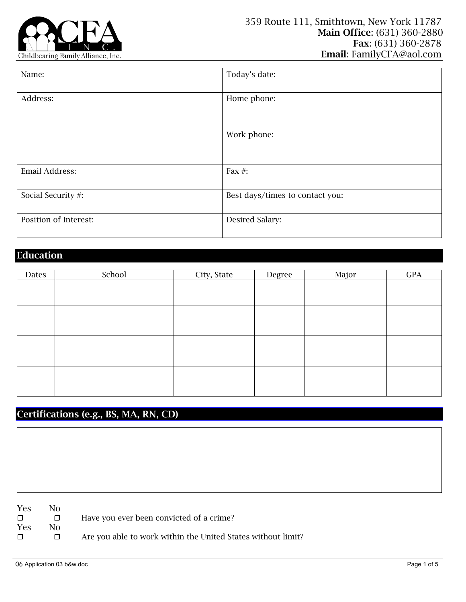

| Name:                 | Today's date:                   |
|-----------------------|---------------------------------|
| Address:              | Home phone:                     |
|                       | Work phone:                     |
| Email Address:        | Fax $#$ :                       |
| Social Security #:    | Best days/times to contact you: |
| Position of Interest: | Desired Salary:                 |

## Education

| Dates | School | City, State | Degree | Major | <b>GPA</b> |
|-------|--------|-------------|--------|-------|------------|
|       |        |             |        |       |            |
|       |        |             |        |       |            |
|       |        |             |        |       |            |
|       |        |             |        |       |            |
|       |        |             |        |       |            |
|       |        |             |        |       |            |
|       |        |             |        |       |            |
|       |        |             |        |       |            |
|       |        |             |        |       |            |
|       |        |             |        |       |            |
|       |        |             |        |       |            |
|       |        |             |        |       |            |

## Certifications (e.g., BS, MA, RN, CD)

Yes No Yes No

□ Have you ever been convicted of a crime?

Are you able to work within the United States without limit?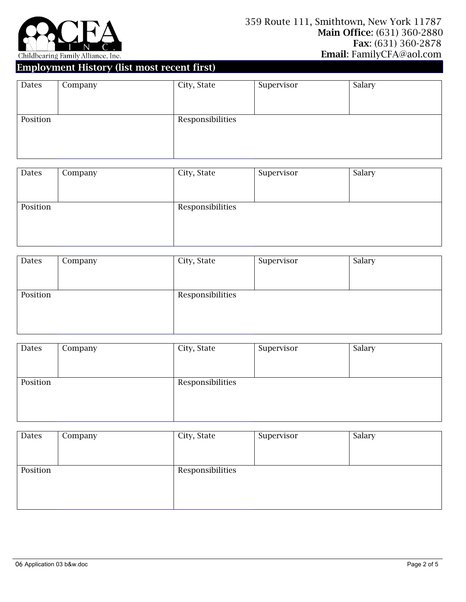

## Employment History (list most recent first)

| Dates    | Company | City, State      | Supervisor | Salary |
|----------|---------|------------------|------------|--------|
|          |         |                  |            |        |
|          |         |                  |            |        |
| Position |         | Responsibilities |            |        |
|          |         |                  |            |        |
|          |         |                  |            |        |
|          |         |                  |            |        |

| Dates    | Company | City, State      | Supervisor | Salary |
|----------|---------|------------------|------------|--------|
|          |         |                  |            |        |
|          |         |                  |            |        |
| Position |         | Responsibilities |            |        |
|          |         |                  |            |        |
|          |         |                  |            |        |
|          |         |                  |            |        |

| Dates    | Company | City, State      | Supervisor | Salary |
|----------|---------|------------------|------------|--------|
|          |         |                  |            |        |
|          |         |                  |            |        |
| Position |         | Responsibilities |            |        |
|          |         |                  |            |        |
|          |         |                  |            |        |

| Company | City, State | Supervisor       | Salary |
|---------|-------------|------------------|--------|
|         |             |                  |        |
|         |             |                  |        |
|         |             |                  |        |
|         |             |                  |        |
|         |             |                  |        |
|         |             |                  |        |
|         |             | Responsibilities |        |

| Dates    | Company | City, State      | Supervisor | Salary |
|----------|---------|------------------|------------|--------|
|          |         |                  |            |        |
|          |         |                  |            |        |
| Position |         | Responsibilities |            |        |
|          |         |                  |            |        |
|          |         |                  |            |        |
|          |         |                  |            |        |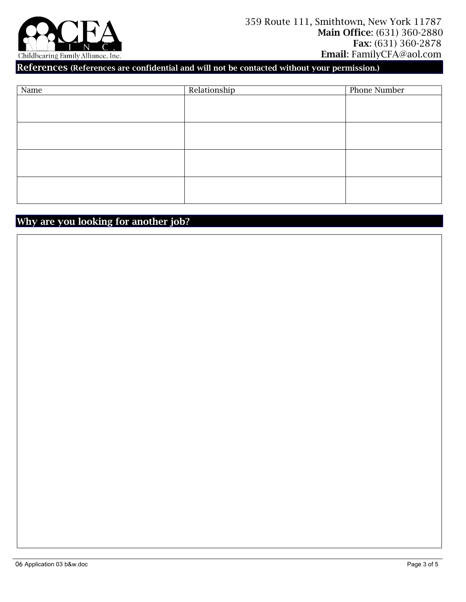

References (References are confidential and will not be contacted without your permission.)

| Name | Relationship | Phone Number |
|------|--------------|--------------|
|      |              |              |
|      |              |              |
|      |              |              |
|      |              |              |
|      |              |              |
|      |              |              |
|      |              |              |
|      |              |              |
|      |              |              |
|      |              |              |
|      |              |              |

## Why are you looking for another job?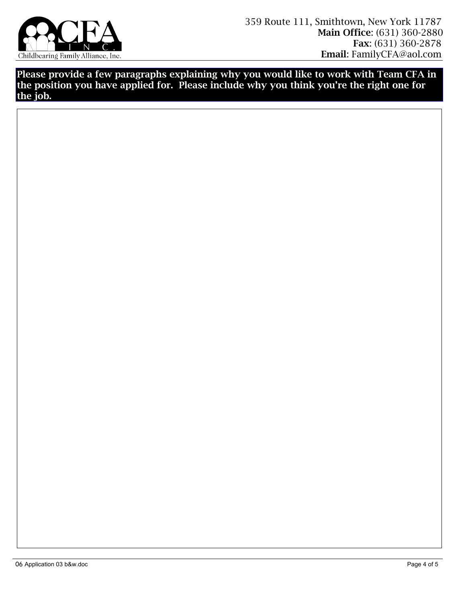

Please provide a few paragraphs explaining why you would like to work with Team CFA in the position you have applied for. Please include why you think you're the right one for the job.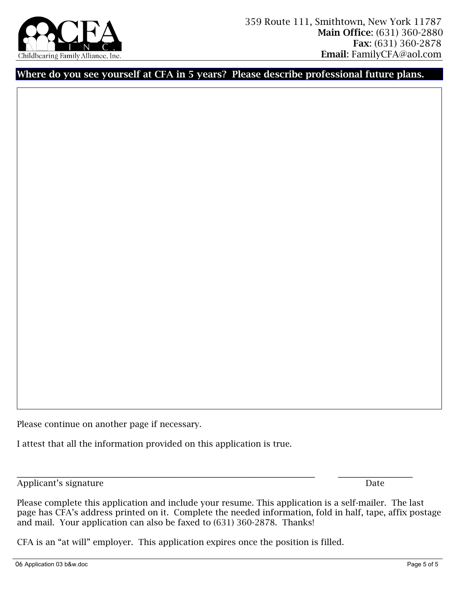

Where do you see yourself at CFA in 5 years? Please describe professional future plans.

Please continue on another page if necessary.

I attest that all the information provided on this application is true.

Applicant's signature Date

Please complete this application and include your resume. This application is a self-mailer. The last page has CFA's address printed on it. Complete the needed information, fold in half, tape, affix postage and mail. Your application can also be faxed to (631) 360-2878. Thanks!

\_\_\_\_\_\_\_\_\_\_\_\_\_\_\_\_\_\_\_\_\_\_\_\_\_\_\_\_\_\_\_\_\_\_\_\_\_\_\_\_\_\_\_\_\_\_\_\_\_\_\_\_\_\_\_\_\_\_\_\_\_\_\_\_ \_\_\_\_\_\_\_\_\_\_\_\_\_\_\_\_

CFA is an "at will" employer. This application expires once the position is filled.